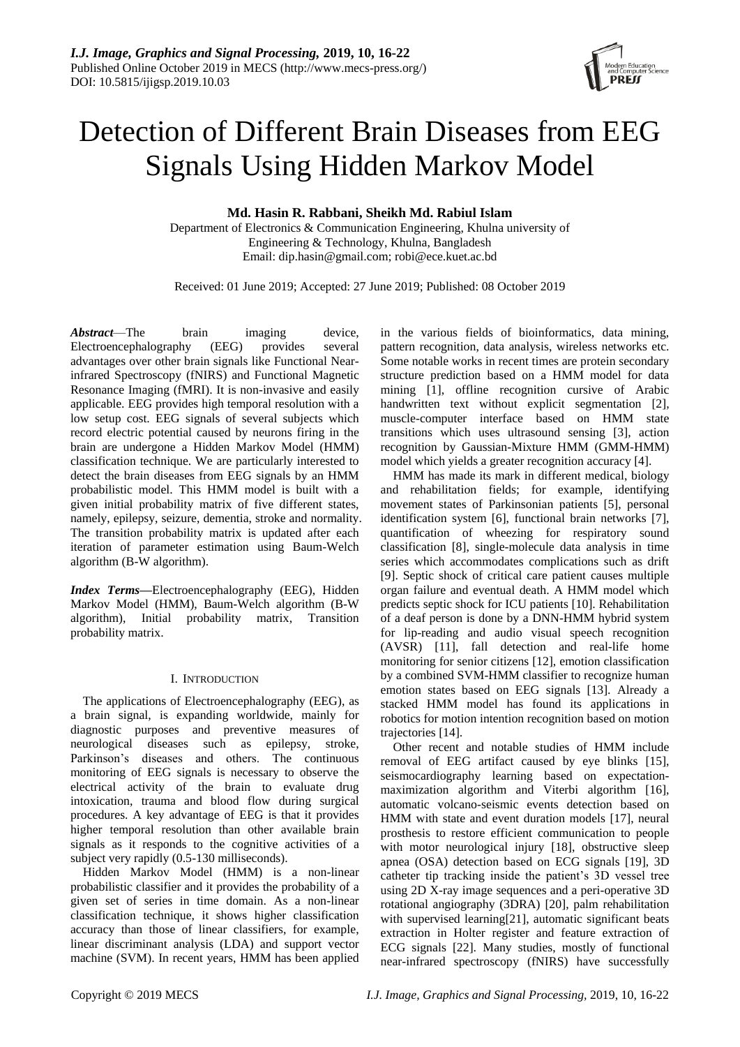

# Detection of Different Brain Diseases from EEG Signals Using Hidden Markov Model

**Md. Hasin R. Rabbani, Sheikh Md. Rabiul Islam**

Department of Electronics & Communication Engineering, Khulna university of Engineering & Technology, Khulna, Bangladesh Email: [dip.hasin@gmail.com;](mailto:dip.hasin@gmail.com) [robi@ece.kuet.ac.bd](mailto:robi@ece.kuet.ac.bd)

Received: 01 June 2019; Accepted: 27 June 2019; Published: 08 October 2019

*Abstract*—The brain imaging device, Electroencephalography (EEG) provides several advantages over other brain signals like Functional Nearinfrared Spectroscopy (fNIRS) and Functional Magnetic Resonance Imaging (fMRI). It is non-invasive and easily applicable. EEG provides high temporal resolution with a low setup cost. EEG signals of several subjects which record electric potential caused by neurons firing in the brain are undergone a Hidden Markov Model (HMM) classification technique. We are particularly interested to detect the brain diseases from EEG signals by an HMM probabilistic model. This HMM model is built with a given initial probability matrix of five different states, namely, epilepsy, seizure, dementia, stroke and normality. The transition probability matrix is updated after each iteration of parameter estimation using Baum-Welch algorithm (B-W algorithm).

*Index Terms—*Electroencephalography (EEG), Hidden Markov Model (HMM), Baum-Welch algorithm (B-W algorithm), Initial probability matrix, Transition probability matrix.

# I. INTRODUCTION

The applications of Electroencephalography (EEG), as a brain signal, is expanding worldwide, mainly for diagnostic purposes and preventive measures of neurological diseases such as epilepsy, stroke, Parkinson's diseases and others. The continuous monitoring of EEG signals is necessary to observe the electrical activity of the brain to evaluate drug intoxication, trauma and blood flow during surgical procedures. A key advantage of EEG is that it provides higher temporal resolution than other available brain signals as it responds to the cognitive activities of a subject very rapidly (0.5-130 milliseconds).

Hidden Markov Model (HMM) is a non-linear probabilistic classifier and it provides the probability of a given set of series in time domain. As a non-linear classification technique, it shows higher classification accuracy than those of linear classifiers, for example, linear discriminant analysis (LDA) and support vector machine (SVM). In recent years, HMM has been applied

in the various fields of bioinformatics, data mining, pattern recognition, data analysis, wireless networks etc. Some notable works in recent times are protein secondary structure prediction based on a HMM model for data mining [1], offline recognition cursive of Arabic handwritten text without explicit segmentation [2], muscle-computer interface based on HMM state transitions which uses ultrasound sensing [3], action recognition by Gaussian-Mixture HMM (GMM-HMM) model which yields a greater recognition accuracy [4].

HMM has made its mark in different medical, biology and rehabilitation fields; for example, identifying movement states of Parkinsonian patients [5], personal identification system [6], functional brain networks [7], quantification of wheezing for respiratory sound classification [8], single-molecule data analysis in time series which accommodates complications such as drift [9]. Septic shock of critical care patient causes multiple organ failure and eventual death. A HMM model which predicts septic shock for ICU patients [10]. Rehabilitation of a deaf person is done by a DNN-HMM hybrid system for lip-reading and audio visual speech recognition (AVSR) [11], fall detection and real-life home monitoring for senior citizens [12], emotion classification by a combined SVM-HMM classifier to recognize human emotion states based on EEG signals [13]. Already a stacked HMM model has found its applications in robotics for motion intention recognition based on motion trajectories [14].

Other recent and notable studies of HMM include removal of EEG artifact caused by eye blinks [15], seismocardiography learning based on expectationmaximization algorithm and Viterbi algorithm [16], automatic volcano-seismic events detection based on HMM with state and event duration models [17], neural prosthesis to restore efficient communication to people with motor neurological injury [18], obstructive sleep apnea (OSA) detection based on ECG signals [19], 3D catheter tip tracking inside the patient's 3D vessel tree using 2D X-ray image sequences and a peri-operative 3D rotational angiography (3DRA) [20], palm rehabilitation with supervised learning[21], automatic significant beats extraction in Holter register and feature extraction of ECG signals [22]. Many studies, mostly of functional near-infrared spectroscopy (fNIRS) have successfully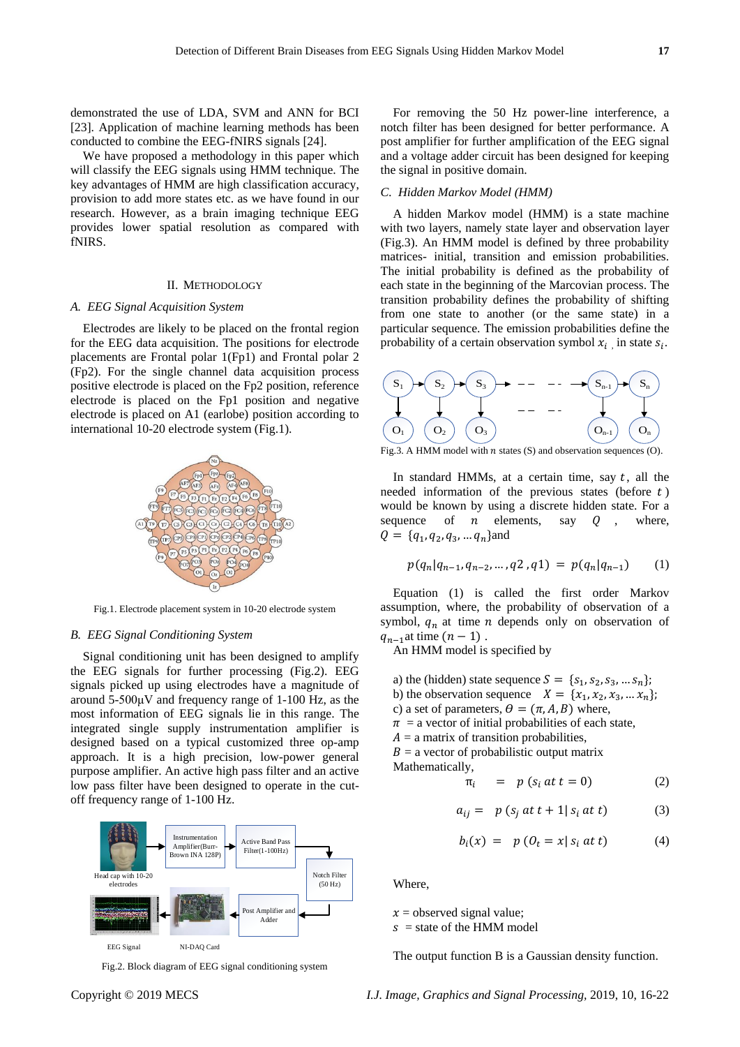demonstrated the use of LDA, SVM and ANN for BCI [23]. Application of machine learning methods has been conducted to combine the EEG-fNIRS signals [24].

We have proposed a methodology in this paper which will classify the EEG signals using HMM technique. The key advantages of HMM are high classification accuracy, provision to add more states etc. as we have found in our research. However, as a brain imaging technique EEG provides lower spatial resolution as compared with fNIRS.

#### II. METHODOLOGY

#### *A. EEG Signal Acquisition System*

Electrodes are likely to be placed on the frontal region for the EEG data acquisition. The positions for electrode placements are Frontal polar 1(Fp1) and Frontal polar 2 (Fp2). For the single channel data acquisition process positive electrode is placed on the Fp2 position, reference electrode is placed on the Fp1 position and negative electrode is placed on A1 (earlobe) position according to international 10-20 electrode system (Fig.1).



Fig.1. Electrode placement system in 10-20 electrode system

## *B. EEG Signal Conditioning System*

Signal conditioning unit has been designed to amplify the EEG signals for further processing (Fig.2). EEG signals picked up using electrodes have a magnitude of around 5-500μV and frequency range of 1-100 Hz, as the most information of EEG signals lie in this range. The integrated single supply instrumentation amplifier is designed based on a typical customized three op-amp approach. It is a high precision, low-power general purpose amplifier. An active high pass filter and an active low pass filter have been designed to operate in the cutoff frequency range of 1-100 Hz.



Fig.2. Block diagram of EEG signal conditioning system

For removing the 50 Hz power-line interference, a notch filter has been designed for better performance. A post amplifier for further amplification of the EEG signal and a voltage adder circuit has been designed for keeping the signal in positive domain.

### *C. Hidden Markov Model (HMM)*

A hidden Markov model (HMM) is a state machine with two layers, namely state layer and observation layer (Fig.3). An HMM model is defined by three probability matrices- initial, transition and emission probabilities. The initial probability is defined as the probability of each state in the beginning of the Marcovian process. The transition probability defines the probability of shifting from one state to another (or the same state) in a particular sequence. The emission probabilities define the probability of a certain observation symbol  $x_i$ , in state  $s_i$ .



Fig.3. A HMM model with *n* states  $(S)$  and observation sequences  $(O)$ .

In standard HMMs, at a certain time, say  $t$ , all the needed information of the previous states (before  $t$ ) would be known by using a discrete hidden state. For a sequence of  $n$  elements, say  $Q$ , where,  $Q = \{q_1, q_2, q_3, \dots q_n\}$ and

$$
p(q_n|q_{n-1}, q_{n-2}, \dots, q_2, q_1) = p(q_n|q_{n-1}) \qquad (1)
$$

Equation (1) is called the first order Markov assumption, where, the probability of observation of a symbol,  $q_n$  at time *n* depends only on observation of  $q_{n-1}$ at time  $(n-1)$ .

An HMM model is specified by

a) the (hidden) state sequence  $S = \{s_1, s_2, s_3, ..., s_n\}$ ; b) the observation sequence  $X = \{x_1, x_2, x_3, \dots x_n\}$ ; c) a set of parameters,  $\theta = (\pi, A, B)$  where,  $\pi$  = a vector of initial probabilities of each state,  $A = a$  matrix of transition probabilities,  $B = a$  vector of probabilistic output matrix Mathematically,

$$
\pi_i = p (s_i \, at \, t = 0) \tag{2}
$$

$$
a_{ij} = p (s_j \ at \ t+1 | s_i \ at \ t) \tag{3}
$$

$$
b_i(x) = p \left( 0_t = x | s_i \text{ at } t \right) \tag{4}
$$

Where,

 $x =$  observed signal value;  $s =$  state of the HMM model

The output function B is a Gaussian density function.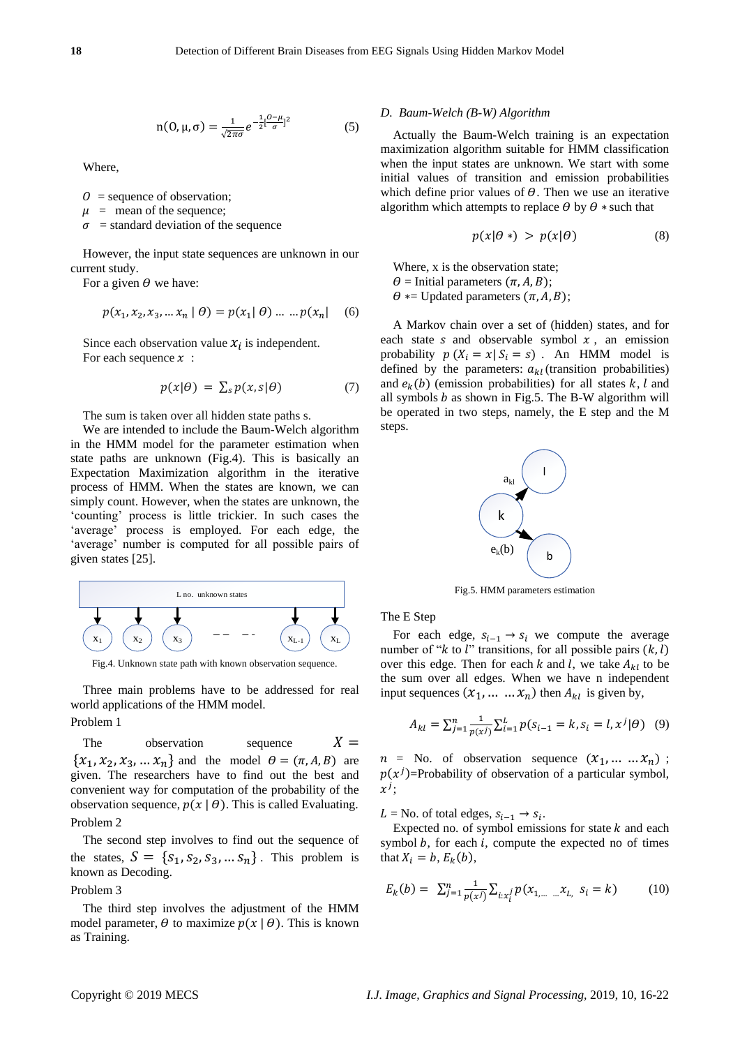$$
n(0, \mu, \sigma) = \frac{1}{\sqrt{2\pi\sigma}} e^{-\frac{1}{2} \left[\frac{0-\mu}{\sigma}\right]^2}
$$
 (5)

Where,

 $0 =$  sequence of observation;

 $\mu$  = mean of the sequence;

 $\sigma$  = standard deviation of the sequence

However, the input state sequences are unknown in our current study.

For a given  $\theta$  we have:

$$
p(x_1, x_2, x_3, \dots x_n \mid \theta) = p(x_1 \mid \theta) \dots \dots p(x_n) \tag{6}
$$

Since each observation value  $x_i$  is independent. For each sequence  $x$ :

$$
p(x|\theta) = \sum_{s} p(x, s|\theta) \tag{7}
$$

The sum is taken over all hidden state paths s.

We are intended to include the Baum-Welch algorithm in the HMM model for the parameter estimation when state paths are unknown (Fig.4). This is basically an Expectation Maximization algorithm in the iterative process of HMM. When the states are known, we can simply count. However, when the states are unknown, the 'counting' process is little trickier. In such cases the 'average' process is employed. For each edge, the 'average' number is computed for all possible pairs of given states [25].



Fig.4. Unknown state path with known observation sequence.

Three main problems have to be addressed for real world applications of the HMM model.

Problem 1

The observation sequence  $X =$  $\{x_1, x_2, x_3, \dots x_n\}$  and the model  $\theta = (\pi, A, B)$  are given. The researchers have to find out the best and convenient way for computation of the probability of the observation sequence,  $p(x | \theta)$ . This is called Evaluating. Problem 2

The second step involves to find out the sequence of the states,  $S = \{s_1, s_2, s_3, ... s_n\}$ . This problem is known as Decoding.

Problem 3

The third step involves the adjustment of the HMM model parameter,  $\theta$  to maximize  $p(x | \theta)$ . This is known as Training.

## *D. Baum-Welch (B-W) Algorithm*

Actually the Baum-Welch training is an expectation maximization algorithm suitable for HMM classification when the input states are unknown. We start with some initial values of transition and emission probabilities which define prior values of  $\theta$ . Then we use an iterative algorithm which attempts to replace  $\theta$  by  $\theta$  \* such that

$$
p(x|\theta*) > p(x|\theta)
$$
 (8)

Where, x is the observation state;  $\theta$  = Initial parameters  $(\pi, A, B)$ ;  $\theta$  ∗= Updated parameters  $(\pi, A, B)$ ;

A Markov chain over a set of (hidden) states, and for each state  $s$  and observable symbol  $x$ , an emission probability  $p(X_i = x | S_i = s)$ . An HMM model is defined by the parameters:  $a_{kl}$  (transition probabilities) and  $e_k(b)$  (emission probabilities) for all states k, l and all symbols  $b$  as shown in Fig.5. The B-W algorithm will be operated in two steps, namely, the E step and the M steps.



Fig.5. HMM parameters estimation

The E Step

For each edge,  $s_{i-1} \rightarrow s_i$  we compute the average number of " $k$  to  $l$ " transitions, for all possible pairs  $(k, l)$ over this edge. Then for each k and l, we take  $A_{kl}$  to be the sum over all edges. When we have n independent input sequences  $(x_1, ..., x_n)$  then  $A_{kl}$  is given by,

$$
A_{kl} = \sum_{j=1}^{n} \frac{1}{p(x^j)} \sum_{i=1}^{L} p(s_{i-1} = k, s_i = l, x^j | \theta)
$$
 (9)

 $n =$  No. of observation sequence  $(x_1, \ldots, x_n)$ ;  $p(x^{j})$ =Probability of observation of a particular symbol,  $x^j$ ;

L = No. of total edges,  $s_{i-1} \rightarrow s_i$ .

Expected no. of symbol emissions for state  $k$  and each symbol  $b$ , for each  $i$ , compute the expected no of times that  $X_i = b$ ,  $E_k(b)$ ,

$$
E_k(b) = \sum_{j=1}^n \frac{1}{p(x^j)} \sum_{i: x_i^j} p(x_{1,\dots} x_{L_i} s_i = k)
$$
 (10)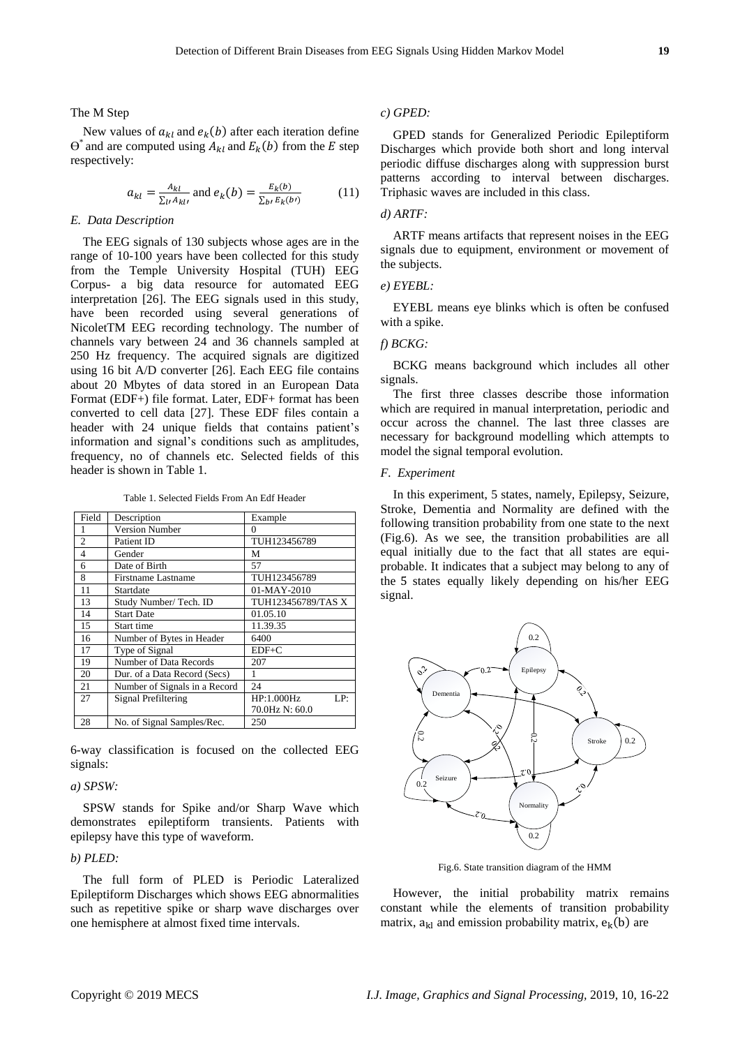The M Step

New values of  $a_{kl}$  and  $e_k(b)$  after each iteration define  $\Theta^*$  and are computed using  $A_{kl}$  and  $E_k(b)$  from the E step respectively:

$$
a_{kl} = \frac{A_{kl}}{\sum_{l'} A_{kl'}} \text{ and } e_k(b) = \frac{E_k(b)}{\sum_{b'} E_k(b')} \tag{11}
$$

# *E. Data Description*

The EEG signals of 130 subjects whose ages are in the range of 10-100 years have been collected for this study from the Temple University Hospital (TUH) EEG Corpus- a big data resource for automated EEG interpretation [26]. The EEG signals used in this study, have been recorded using several generations of NicoletTM EEG recording technology. The number of channels vary between 24 and 36 channels sampled at 250 Hz frequency. The acquired signals are digitized using 16 bit A/D converter [26]. Each EEG file contains about 20 Mbytes of data stored in an European Data Format (EDF+) file format. Later, EDF+ format has been converted to cell data [27]. These EDF files contain a header with 24 unique fields that contains patient's information and signal's conditions such as amplitudes, frequency, no of channels etc. Selected fields of this header is shown in Table 1.

Table 1. Selected Fields From An Edf Header

| Field          | Description                   | Example            |  |  |  |
|----------------|-------------------------------|--------------------|--|--|--|
| 1              | <b>Version Number</b>         | 0                  |  |  |  |
| $\overline{c}$ | Patient ID                    | TUH123456789       |  |  |  |
| 4              | Gender                        | м                  |  |  |  |
| 6              | Date of Birth                 | 57                 |  |  |  |
| 8              | Firstname Lastname            | TUH123456789       |  |  |  |
| 11             | Startdate                     | 01-MAY-2010        |  |  |  |
| 13             | Study Number/ Tech. ID        | TUH123456789/TAS X |  |  |  |
| 14             | <b>Start Date</b>             | 01.05.10           |  |  |  |
| 15             | Start time                    | 11.39.35           |  |  |  |
| 16             | Number of Bytes in Header     | 6400               |  |  |  |
| 17             | Type of Signal                | $EDF+C$            |  |  |  |
| 19             | Number of Data Records        | 207                |  |  |  |
| 20             | Dur. of a Data Record (Secs)  | 1                  |  |  |  |
| 21             | Number of Signals in a Record | 24                 |  |  |  |
| 27             | <b>Signal Prefiltering</b>    | HP:1.000Hz<br>LP:  |  |  |  |
|                |                               | 70.0Hz N: 60.0     |  |  |  |
| 28             | No. of Signal Samples/Rec.    | 250                |  |  |  |

6-way classification is focused on the collected EEG signals:

# *a) SPSW:*

SPSW stands for Spike and/or Sharp Wave which demonstrates epileptiform transients. Patients with epilepsy have this type of waveform.

# *b) PLED:*

The full form of PLED is Periodic Lateralized Epileptiform Discharges which shows EEG abnormalities such as repetitive spike or sharp wave discharges over one hemisphere at almost fixed time intervals.

## *c) GPED:*

GPED stands for Generalized Periodic Epileptiform Discharges which provide both short and long interval periodic diffuse discharges along with suppression burst patterns according to interval between discharges. Triphasic waves are included in this class.

# *d) ARTF:*

ARTF means artifacts that represent noises in the EEG signals due to equipment, environment or movement of the subjects.

# *e) EYEBL:*

EYEBL means eye blinks which is often be confused with a spike.

# *f) BCKG:*

BCKG means background which includes all other signals.

The first three classes describe those information which are required in manual interpretation, periodic and occur across the channel. The last three classes are necessary for background modelling which attempts to model the signal temporal evolution.

## *F. Experiment*

In this experiment, 5 states, namely, Epilepsy, Seizure, Stroke, Dementia and Normality are defined with the following transition probability from one state to the next (Fig.6). As we see, the transition probabilities are all equal initially due to the fact that all states are equiprobable. It indicates that a subject may belong to any of the 5 states equally likely depending on his/her EEG signal.



Fig.6. State transition diagram of the HMM

However, the initial probability matrix remains constant while the elements of transition probability matrix,  $a_{kl}$  and emission probability matrix,  $e_k(b)$  are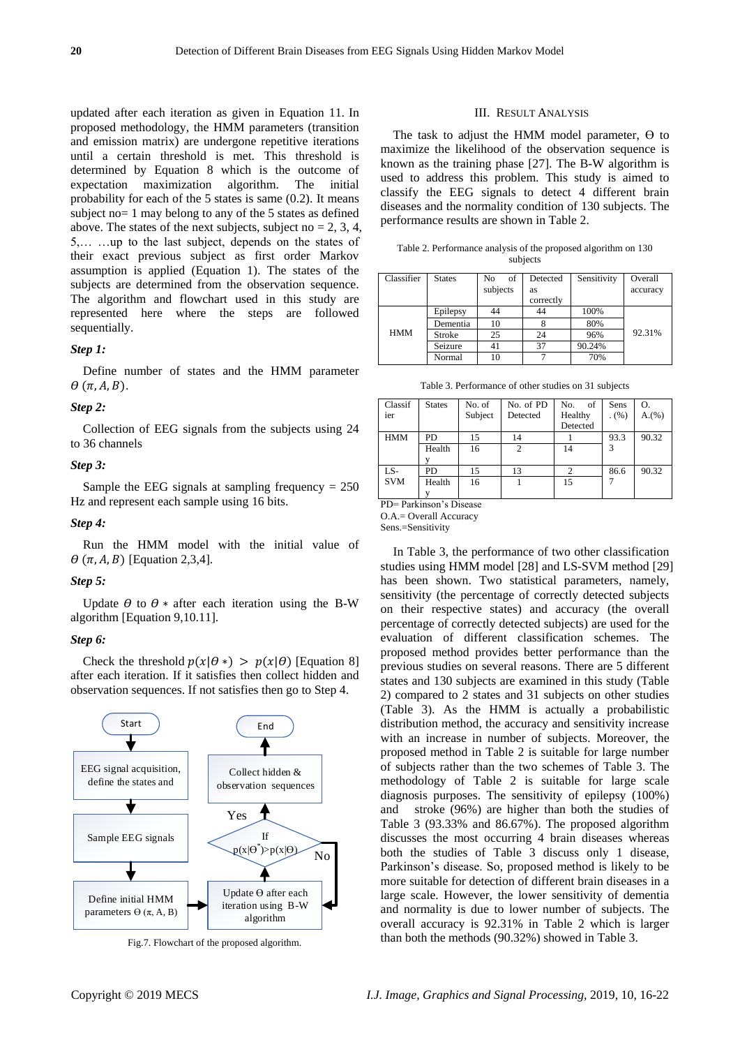updated after each iteration as given in Equation 11. In proposed methodology, the HMM parameters (transition and emission matrix) are undergone repetitive iterations until a certain threshold is met. This threshold is determined by Equation 8 which is the outcome of expectation maximization algorithm. The initial probability for each of the 5 states is same (0.2). It means subject no= 1 may belong to any of the 5 states as defined above. The states of the next subjects, subject no  $= 2, 3, 4$ , 5,… …up to the last subject, depends on the states of their exact previous subject as first order Markov assumption is applied (Equation 1). The states of the subjects are determined from the observation sequence. The algorithm and flowchart used in this study are represented here where the steps are followed sequentially.

# *Step 1:*

Define number of states and the HMM parameter  $\theta$   $(\pi, A, B)$ .

## *Step 2:*

Collection of EEG signals from the subjects using 24 to 36 channels

## *Step 3:*

Sample the EEG signals at sampling frequency  $= 250$ Hz and represent each sample using 16 bits.

*Step 4:*

Run the HMM model with the initial value of  $\theta$  ( $\pi$ , A, B) [Equation 2,3,4].

## *Step 5:*

Update  $\theta$  to  $\theta$  \* after each iteration using the B-W algorithm [Equation 9,10.11].

## *Step 6:*

Check the threshold  $p(x|\theta*) > p(x|\theta)$  [Equation 8] after each iteration. If it satisfies then collect hidden and observation sequences. If not satisfies then go to Step 4.



Fig.7. Flowchart of the proposed algorithm.

#### III. RESULT ANALYSIS

The task to adjust the HMM model parameter,  $\Theta$  to maximize the likelihood of the observation sequence is known as the training phase [27]. The B-W algorithm is used to address this problem. This study is aimed to classify the EEG signals to detect 4 different brain diseases and the normality condition of 130 subjects. The performance results are shown in Table 2.

| Table 2. Performance analysis of the proposed algorithm on 130 |  |
|----------------------------------------------------------------|--|
| subjects                                                       |  |

| Classifier | <b>States</b> | of<br>No | Detected  | Sensitivity | Overall  |
|------------|---------------|----------|-----------|-------------|----------|
|            |               | subjects | as        |             | accuracy |
|            |               |          | correctly |             |          |
|            | Epilepsy      | 44       | 44        | 100%        |          |
|            | Dementia      | 10       |           | 80%         |          |
| <b>HMM</b> | Stroke        | 25       | 24        | 96%         | 92.31%   |
|            | Seizure       | 41       | 37        | 90.24%      |          |
|            | Normal        | 10       |           | 70%         |          |

Table 3. Performance of other studies on 31 subjects

| Classif<br>ier | <b>States</b> | No. of<br>Subject | No. of PD<br>Detected | of<br>No.<br>Healthy<br>Detected | Sens<br>(%) | Ο.<br>A.(%) |
|----------------|---------------|-------------------|-----------------------|----------------------------------|-------------|-------------|
| <b>HMM</b>     | PD            | 15                | 14                    |                                  | 93.3        | 90.32       |
|                | Health        | 16                | $\mathfrak{D}$        | 14                               | 3           |             |
|                |               |                   |                       |                                  |             |             |
| LS-            | PD            | 15                | 13                    | 2                                | 86.6        | 90.32       |
| <b>SVM</b>     | Health        | 16                |                       | 15                               |             |             |
|                |               |                   |                       |                                  |             |             |

PD= Parkinson's Disease O.A.= Overall Accuracy

Sens.=Sensitivity

In Table 3, the performance of two other classification studies using HMM model [28] and LS-SVM method [29] has been shown. Two statistical parameters, namely, sensitivity (the percentage of correctly detected subjects on their respective states) and accuracy (the overall percentage of correctly detected subjects) are used for the evaluation of different classification schemes. The proposed method provides better performance than the previous studies on several reasons. There are 5 different states and 130 subjects are examined in this study (Table 2) compared to 2 states and 31 subjects on other studies (Table 3). As the HMM is actually a probabilistic distribution method, the accuracy and sensitivity increase with an increase in number of subjects. Moreover, the proposed method in Table 2 is suitable for large number of subjects rather than the two schemes of Table 3. The methodology of Table 2 is suitable for large scale diagnosis purposes. The sensitivity of epilepsy (100%) and stroke (96%) are higher than both the studies of Table 3 (93.33% and 86.67%). The proposed algorithm discusses the most occurring 4 brain diseases whereas both the studies of Table 3 discuss only 1 disease, Parkinson's disease. So, proposed method is likely to be more suitable for detection of different brain diseases in a large scale. However, the lower sensitivity of dementia and normality is due to lower number of subjects. The overall accuracy is 92.31% in Table 2 which is larger than both the methods (90.32%) showed in Table 3.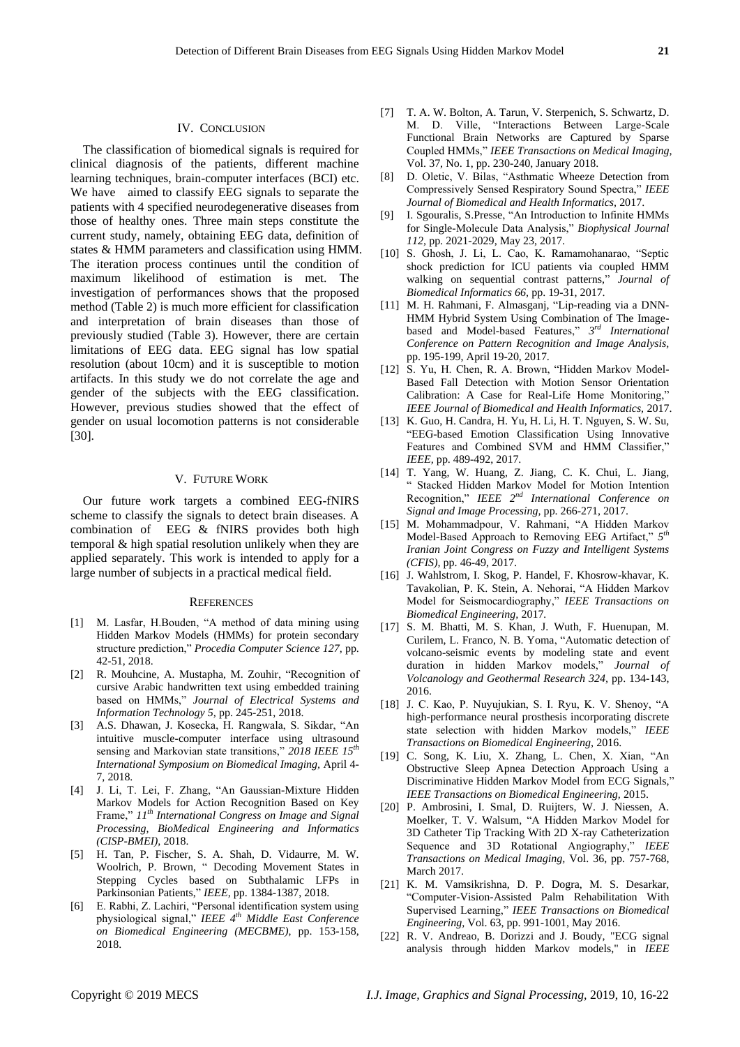## IV. CONCLUSION

The classification of biomedical signals is required for clinical diagnosis of the patients, different machine learning techniques, brain-computer interfaces (BCI) etc. We have aimed to classify EEG signals to separate the patients with 4 specified neurodegenerative diseases from those of healthy ones. Three main steps constitute the current study, namely, obtaining EEG data, definition of states & HMM parameters and classification using HMM. The iteration process continues until the condition of maximum likelihood of estimation is met. The investigation of performances shows that the proposed method (Table 2) is much more efficient for classification and interpretation of brain diseases than those of previously studied (Table 3). However, there are certain limitations of EEG data. EEG signal has low spatial resolution (about 10cm) and it is susceptible to motion artifacts. In this study we do not correlate the age and gender of the subjects with the EEG classification. However, previous studies showed that the effect of gender on usual locomotion patterns is not considerable [30].

## V. FUTURE WORK

Our future work targets a combined EEG-fNIRS scheme to classify the signals to detect brain diseases. A combination of EEG & fNIRS provides both high temporal & high spatial resolution unlikely when they are applied separately. This work is intended to apply for a large number of subjects in a practical medical field.

#### **REFERENCES**

- [1] M. Lasfar, H.Bouden, "A method of data mining using Hidden Markov Models (HMMs) for protein secondary structure prediction," *Procedia Computer Science 127,* pp. 42-51, 2018.
- [2] R. Mouhcine, A. Mustapha, M. Zouhir, "Recognition of cursive Arabic handwritten text using embedded training based on HMMs," *Journal of Electrical Systems and Information Technology 5,* pp. 245-251, 2018.
- [3] A.S. Dhawan, J. Kosecka, H. Rangwala, S. Sikdar, "An intuitive muscle-computer interface using ultrasound sensing and Markovian state transitions," *2018 IEEE 15th International Symposium on Biomedical Imaging,* April 4- 7, 2018.
- [4] J. Li, T. Lei, F. Zhang, "An Gaussian-Mixture Hidden Markov Models for Action Recognition Based on Key Frame," *11th International Congress on Image and Signal Processing, BioMedical Engineering and Informatics (CISP-BMEI),* 2018.
- [5] H. Tan, P. Fischer, S. A. Shah, D. Vidaurre, M. W. Woolrich, P. Brown, " Decoding Movement States in Stepping Cycles based on Subthalamic LFPs in Parkinsonian Patients," *IEEE,* pp. 1384-1387, 2018.
- [6] E. Rabhi, Z. Lachiri, "Personal identification system using physiological signal," *IEEE 4th Middle East Conference on Biomedical Engineering (MECBME),* pp. 153-158, 2018.
- [7] T. A. W. Bolton, A. Tarun, V. Sterpenich, S. Schwartz, D. M. D. Ville, "Interactions Between Large-Scale Functional Brain Networks are Captured by Sparse Coupled HMMs," *IEEE Transactions on Medical Imaging,* Vol. 37, No. 1, pp. 230-240, January 2018.
- [8] D. Oletic, V. Bilas, "Asthmatic Wheeze Detection from Compressively Sensed Respiratory Sound Spectra," *IEEE Journal of Biomedical and Health Informatics,* 2017.
- [9] I. Sgouralis, S.Presse, "An Introduction to Infinite HMMs for Single-Molecule Data Analysis," *Biophysical Journal 112,* pp. 2021-2029, May 23, 2017.
- [10] S. Ghosh, J. Li, L. Cao, K. Ramamohanarao, "Septic shock prediction for ICU patients via coupled HMM walking on sequential contrast patterns," *Journal of Biomedical Informatics 66,* pp. 19-31, 2017.
- [11] M. H. Rahmani, F. Almasganj, "Lip-reading via a DNN-HMM Hybrid System Using Combination of The Imagebased and Model-based Features," *3 rd International Conference on Pattern Recognition and Image Analysis,*  pp. 195-199, April 19-20, 2017.
- [12] S. Yu, H. Chen, R. A. Brown, "Hidden Markov Model-Based Fall Detection with Motion Sensor Orientation Calibration: A Case for Real-Life Home Monitoring," *IEEE Journal of Biomedical and Health Informatics,* 2017.
- [13] K. Guo, H. Candra, H. Yu, H. Li, H. T. Nguyen, S. W. Su, "EEG-based Emotion Classification Using Innovative Features and Combined SVM and HMM Classifier," *IEEE,* pp. 489-492, 2017.
- [14] T. Yang, W. Huang, Z. Jiang, C. K. Chui, L. Jiang, " Stacked Hidden Markov Model for Motion Intention Recognition," *IEEE 2 nd International Conference on Signal and Image Processing,* pp. 266-271, 2017.
- [15] M. Mohammadpour, V. Rahmani, "A Hidden Markov Model-Based Approach to Removing EEG Artifact," *5 th Iranian Joint Congress on Fuzzy and Intelligent Systems (CFIS),* pp. 46-49, 2017.
- [16] J. Wahlstrom, I. Skog, P. Handel, F. Khosrow-khavar, K. Tavakolian, P. K. Stein, A. Nehorai, "A Hidden Markov Model for Seismocardiography," *IEEE Transactions on Biomedical Engineering,* 2017*.*
- [17] S. M. Bhatti, M. S. Khan, J. Wuth, F. Huenupan, M. Curilem, L. Franco, N. B. Yoma, "Automatic detection of volcano-seismic events by modeling state and event duration in hidden Markov models," *Journal of Volcanology and Geothermal Research 324,* pp. 134-143, 2016.
- [18] J. C. Kao, P. Nuyujukian, S. I. Ryu, K. V. Shenoy, "A high-performance neural prosthesis incorporating discrete state selection with hidden Markov models," *IEEE Transactions on Biomedical Engineering,* 2016.
- [19] C. Song, K. Liu, X. Zhang, L. Chen, X. Xian, "An Obstructive Sleep Apnea Detection Approach Using a Discriminative Hidden Markov Model from ECG Signals," *IEEE Transactions on Biomedical Engineering,* 2015.
- [20] P. Ambrosini, I. Smal, D. Ruijters, W. J. Niessen, A. Moelker, T. V. Walsum, "A Hidden Markov Model for 3D Catheter Tip Tracking With 2D X-ray Catheterization Sequence and 3D Rotational Angiography," *IEEE Transactions on Medical Imaging,* Vol. 36, pp. 757-768, March 2017.
- [21] K. M. Vamsikrishna, D. P. Dogra, M. S. Desarkar, "Computer-Vision-Assisted Palm Rehabilitation With Supervised Learning," *IEEE Transactions on Biomedical Engineering,* Vol. 63, pp. 991-1001, May 2016.
- [22] R. V. Andreao, B. Dorizzi and J. Boudy, "ECG signal analysis through hidden Markov models," in *IEEE*